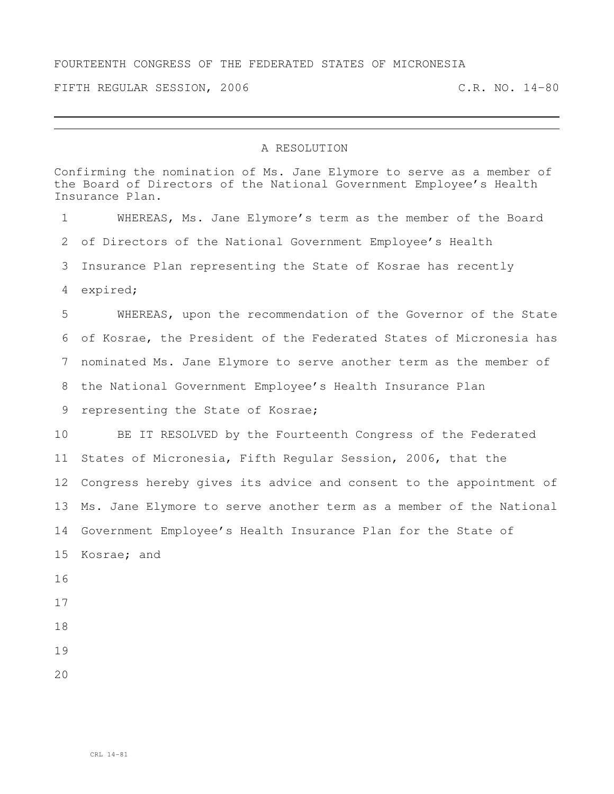## FOURTEENTH CONGRESS OF THE FEDERATED STATES OF MICRONESIA

FIFTH REGULAR SESSION, 2006 C.R. NO. 14-80

## A RESOLUTION

Confirming the nomination of Ms. Jane Elymore to serve as a member of the Board of Directors of the National Government Employee's Health Insurance Plan. WHEREAS, Ms. Jane Elymore's term as the member of the Board of Directors of the National Government Employee's Health Insurance Plan representing the State of Kosrae has recently expired; WHEREAS, upon the recommendation of the Governor of the State of Kosrae, the President of the Federated States of Micronesia has nominated Ms. Jane Elymore to serve another term as the member of the National Government Employee's Health Insurance Plan representing the State of Kosrae; BE IT RESOLVED by the Fourteenth Congress of the Federated States of Micronesia, Fifth Regular Session, 2006, that the Congress hereby gives its advice and consent to the appointment of Ms. Jane Elymore to serve another term as a member of the National Government Employee's Health Insurance Plan for the State of Kosrae; and